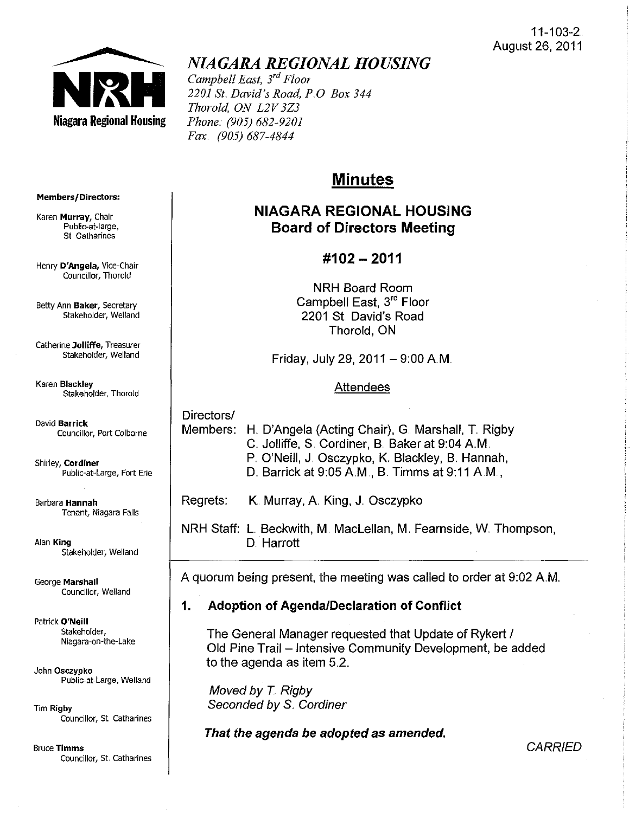

# *NIAGARA REGIONAL HOUSING*

*Campbell East, 3*rd *Floor 2201 St. David's Road, PO Box 344 Thorold, ON L2V3Z3 Phone .. (905) 682-9201 Fax (905) 687-4844* 

# **Minutes**

# **NIAGARA REGIONAL HOUSING Board of Directors Meeting**

# **#102 - 2011**

**NRH** Board Room Campbell East, 3rd Floor 2201 St David's Road Thorold, ON

Friday, July 29, 2011 -  $9:00$  A.M.

## Attendees

Directors/ Members: H. D'Angela (Acting Chair), G. Marshall, T. Rigby C. Jolliffe, S. Cordiner, B. Baker at 9:04 A.M. P. O'Neill, J. Osczypko, K. Blackley, B. Hannah, D. Barrick at  $9.05$  A.M., B. Timms at  $9.11$  A.M.,

Regrets: K. Murray, A. King, J. Osczypko

**NRH** Staff: L Beckwith, M. Maclellan, M. Fearnside, W. Thompson, D. Harrott

A quorum being present, the meeting was called to order at 9:02 AM.

# **1. Adoption of Agenda/Declaration of Conflict**

The General Manager requested that Update of Rykert / Old Pine Trail - Intensive Community Development, be added to the agenda as item  $5.2<sub>1</sub>$ .

Moved by  $T$ . Rigby Seconded by S. Cordiner

**That the agenda be adopted as amended.** 

**Members/Directors:** 

**Karen Murray, Chair**  Public~at-Iarge, **St Catharines** 

**Henry D'Angela, Vice-Chair Councillor, Thorold** 

Betty Ann Baker, Secretary Stakeholder, Weiland

**Catherine Jolliffe, Treasurer**  Stakeholder, Weiland

**Karen Blackley Stakeholder, Thorold** 

**David Banick Councillor, Port Colborne** 

**Shirley, Cordiner** Public-at-Large, Fort Erie

**Barbara Hannah Tenant, Niagara Falls** 

**Alan King**  Stakeholder, Weiland

**George Marshall Councillor, Weiland** 

Patrick O'Neill Stakeholder, **Niagara-on-the-Lake** 

John Osczypko **Public-at-Large, Weiland** 

Tim Rigby **Councillor/ St. Catharines** 

Bruce Timms **Councillor, St, Catharines** 

## **CARRIED**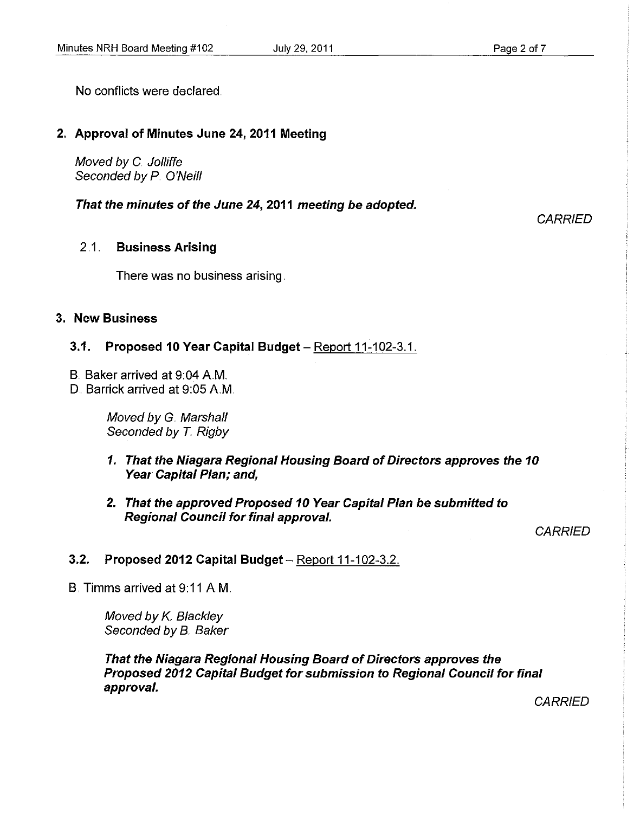No conflicts were declared.

#### 2" Approval of Minutes June 24, 2011 Meeting

Moved by C. Jolliffe Seconded by P. O'Neill

That the minutes of the June 24, 2011 meeting be adopted.

#### 2.1.. Business Arising

There was no business arising.

#### 3" New Business

#### 3.1. Proposed 10 Year Capital Budget - Report  $11-102-3.1$ .

- B. Baker arrived at 9:04 A.M.
- D. Barrick arrived at 9:05 A.M.

Moved by G. Marshall Seconded by T. Rigby

- 1. That the Niagara Regional Housing Board of Directors approves the 10 Year Capital Plan; and,
- 2. That the approved Proposed 10 Year Capital Plan be submitted to Regional Council for final approval.

**CARRIED** 

**CARRIED** 

### 3.2. Proposed 2012 Capital Budget - Report 11-102-3.2.

B. Timms arrived at 9: 11 AM.

Moved by K. Blackley Seconded by B. Baker

That the Niagara Regional Housing Board of Directors approves the Proposed 2012 Capital Budget for submission to Regional Council for final approval.

**CARRIED**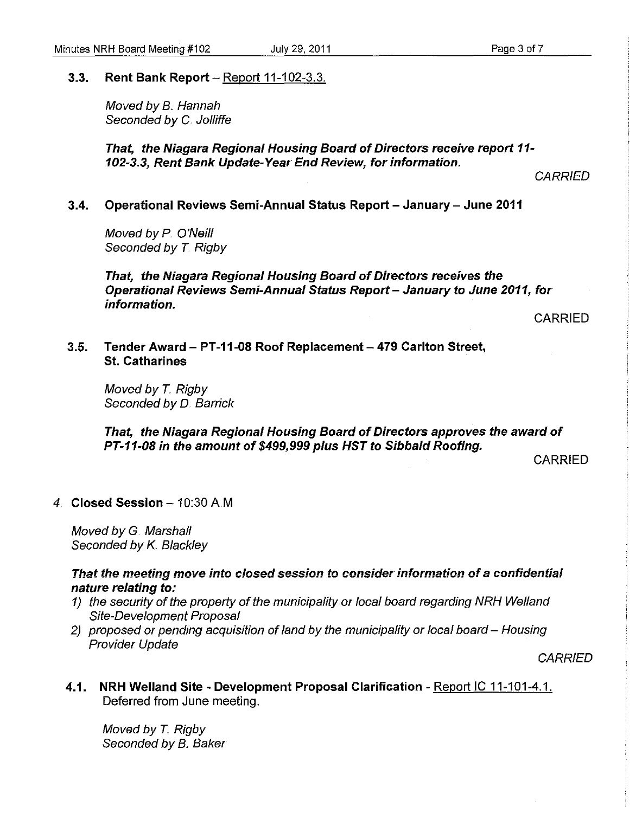#### 3.3. Rent Bank Report  $-$  Report 11-102-3.3.

Moved by B. Hannah Seconded by C. Jolliffe

That, the Niagara Regional Housing Board of Directors receive report 11- 102-3.3, Rent Bank Update-Year End Review, for information.

**CARRIED** 

3.4. Operational Reviews Semi-Annual Status Report - January - June 2011

Moved by P. O'Neill Seconded by T. Rigby

That, the Niagara Regional Housing Board of Directors receives the Operational Reviews Semi-Annual Status Report - January to June 2011, for information.

CARRIED

3.5. Tender Award - PT-11-08 Roof Replacement - 479 Carlton Street, St. Catharines

Moved by T. Rigby Seconded by D. Barrick

That, the Niagara Regional Housing Board of Directors approves the award of PT-11-08 in the amount of \$499,999 plus HST to Sibbald Roofing.

CARRIED

### 4. Closed Session  $-10:30$  A.M

Moved by G. Marshall Seconded by *K.* Blackley

#### That the meeting move into closed session to consider information of a confidential nature relating to:

- 1) the security of the property of the municipality or local board regarding NRH Weiland Site-Development Proposal
- 2) proposed or pending acquisition of land by the municipality or local board Housing Provider Update

**CARRIED** 

4.1. NRH Welland Site - Development Proposal Clarification - Report IC 11-101-4.1. Deferred from June meeting.

Moved by T. Rigby Seconded by B. Baker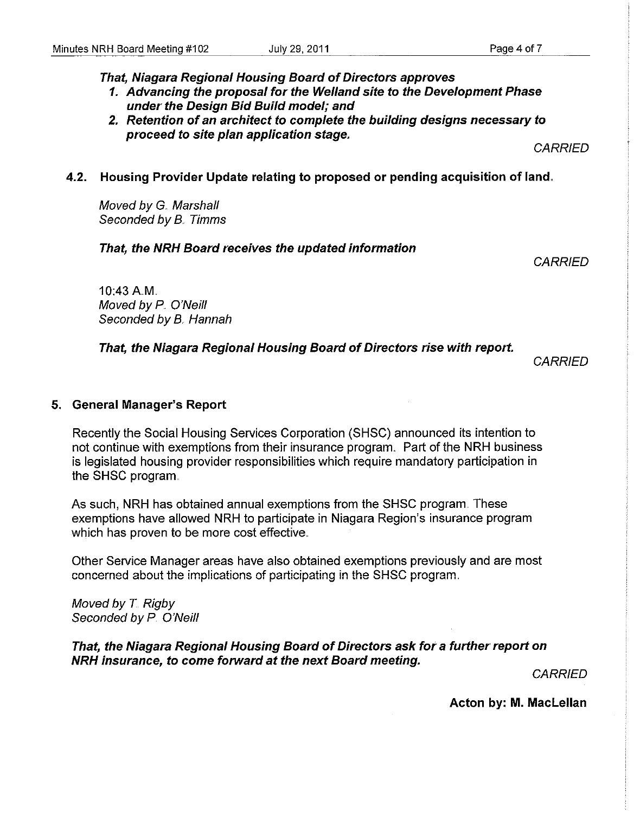That, Niagara Regional Housing Board of Directors approves

- 1. Advancing the proposal for the Welland site to the Development Phase under the Design Bid Build model; and
- 2. Retention of an architect to complete the building designs necessary to proceed to site plan application stage.

CARRIED

#### 4.2. Housing Provider Update relating to proposed or pending acquisition of land.

Moved by G. Marshall Seconded by B.. Timms

#### That, the NRH Board receives the updated information

**CARRIED** 

10:43 AM. Moved by P. O'Neill Seconded by B. Hannah

#### That, the Niagara Regional Housing Board of Directors rise with report.

**CARRIED** 

#### 5. General Manager's Report

Recently the Social Housing Services Corporation (SHSC) announced its intention to not continue with exemptions from their insurance program.. Part of the NRH business is legislated housing provider responsibilities which require mandatory participation in the SHSC program..

As such, NRH has obtained annual exemptions from the SHSC program.. These exemptions have allowed NRH to participate in Niagara Region's insurance program which has proven to be more cost effective.

Other Service Manager areas have also obtained exemptions previously and are most concerned about the implications of participating in the SHSC program..

Moved by  $T$  Rigby Seconded by P. O'Neill

That, the Niagara Regional Housing Board of Directors ask for a further report on NRH insurance, to come forward at the next Board meeting.

CARRIED

Acton by: M. Maclellan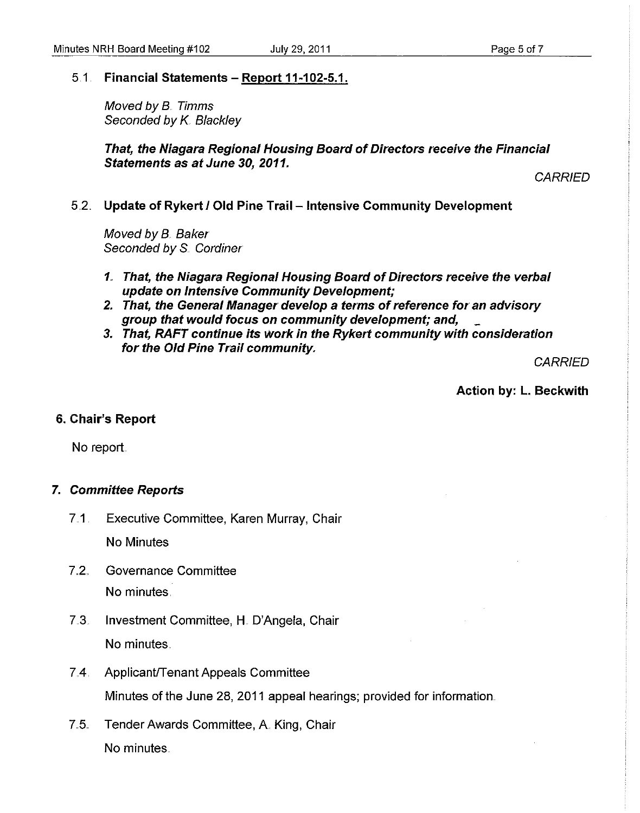#### 5.1 . **Financial Statements - Report 11-102-5.1.**

Moved by B.. Timms Seconded by K. Blackley

**That, the Niagara Regional Housing Board of Directors receive the Financial Statements as at June 30,2011.** 

**CARRIED** 

#### 5.2.. **Update of Rykert I Old Pine Trail - Intensive Community Development**

Moved by B. Baker Seconded by S. Cordiner

- 1" **That, the Niagara Regional Housing Board of Directors receive the verbal update on Intensive Community Development;**
- **2. That, the General Manager develop a terms of reference for an advisory group that would focus on community development; and,** .\_
- **3. That, RAFT continue its work in the Rykert community with consideration for the Old Pine Trail community.**

**CARRIED** 

**Action by: L. Beckwith** 

#### **6. Chair's Report**

No report

#### **7. Committee Reports**

7..1 . Executive Committee, Karen Murray, Chair

No Minutes

- 7.2. Governance Committee No minutes.
- 7..3. Investment Committee, H.. O'Angela, Chair No minutes.
- 7.4. Applicant/Tenant Appeals Committee Minutes of the June 28, 2011 appeal hearings; provided for information.
- 7.5. Tender Awards Committee, A. King, Chair No minutes.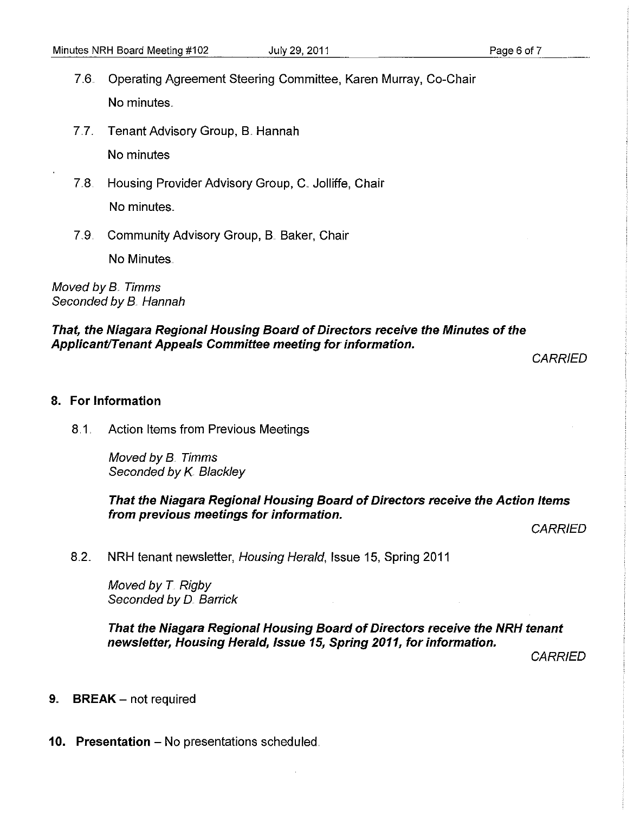- 7.6. Operating Agreement Steering Committee, Karen Murray, Co-Chair No minutes.
- 7.7.. Tenant Advisory Group, B. Hannah No minutes
- 7.8. Housing Provider Advisory Group, C. Jolliffe, Chair No minutes ..
- 7.9 Community Advisory Group, B. Baker, Chair No Minutes ..

Moved by B.. Timms Seconded by B. Hannah

### That, the Niagara Regional Housing Board of Directors receive the Minutes of the Applicant/Tenant Appeals Committee meeting for information.

**CARRIED** 

#### 8. **For** Information

8.1 . Action Items from Previous Meetings

Moved by B.. Timms Seconded by K. Blackley

That the Niagara Regional Housing Board of Directors receive the Action Items from previous meetings for information.

**CARRIED** 

8.2. NRH tenant newsletter, Housing Herald, Issue 15, Spring 2011

Moved by T. Rigby Seconded by D. Barrick

That the Niagara Regional Housing Board of Directors receive the **NRH** tenant newsletter, Housing Herald, Issue 15, Spring 2011, for information.

**CARRIED** 

- 9 BREAK not required
- 10. Presentation No presentations scheduled.